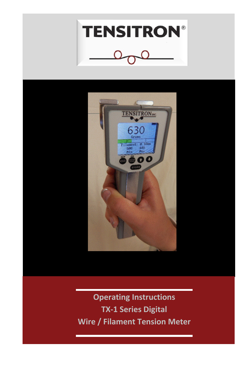



**Operating Instructions TX-1 Series Digital Wire / Filament Tension Meter**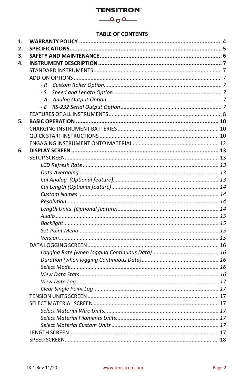$\sim$ 

### **TABLE OF CONTENTS**

| 1. |      |  |
|----|------|--|
| 2. |      |  |
| 3. |      |  |
| 4. |      |  |
|    |      |  |
|    |      |  |
|    | - R  |  |
|    | - S  |  |
|    | - A  |  |
|    | $-E$ |  |
|    |      |  |
| 5. |      |  |
|    |      |  |
|    |      |  |
|    |      |  |
| 6. |      |  |
|    |      |  |
|    |      |  |
|    |      |  |
|    |      |  |
|    |      |  |
|    |      |  |
|    |      |  |
|    |      |  |
|    |      |  |
|    |      |  |
|    |      |  |
|    |      |  |
|    |      |  |
|    |      |  |
|    |      |  |
|    |      |  |
|    |      |  |
|    |      |  |
|    |      |  |
|    |      |  |
|    |      |  |
|    |      |  |
|    |      |  |
|    |      |  |
|    |      |  |
|    |      |  |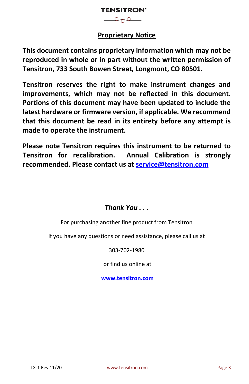$\overline{\phantom{a}}$ 

### **Proprietary Notice**

**This document contains proprietary information which may not be reproduced in whole or in part without the written permission of Tensitron, 733 South Bowen Street, Longmont, CO 80501.**

**Tensitron reserves the right to make instrument changes and improvements, which may not be reflected in this document. Portions of this document may have been updated to include the latest hardware or firmware version, if applicable. We recommend that this document be read in its entirety before any attempt is made to operate the instrument.**

**Please note Tensitron requires this instrument to be returned to Tensitron for recalibration. Annual Calibration is strongly recommended. Please contact us at [service@tensitron.com](mailto:service@tensitron.com)**

### *Thank You . . .*

For purchasing another fine product from Tensitron

If you have any questions or need assistance, please call us at

303-702-1980

or find us online at

**[www.tensitron.com](http://www.tensitron.com/)**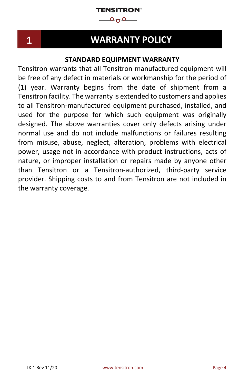$\longrightarrow^{\circ}$ 

<span id="page-3-0"></span>**1. WARRANTY POLICY**

### **1 WARRANTY POLICY**

### **STANDARD EQUIPMENT WARRANTY**

Tensitron warrants that all Tensitron-manufactured equipment will be free of any defect in materials or workmanship for the period of (1) year. Warranty begins from the date of shipment from a Tensitron facility. The warranty is extended to customers and applies to all Tensitron-manufactured equipment purchased, installed, and used for the purpose for which such equipment was originally designed. The above warranties cover only defects arising under normal use and do not include malfunctions or failures resulting from misuse, abuse, neglect, alteration, problems with electrical power, usage not in accordance with product instructions, acts of nature, or improper installation or repairs made by anyone other than Tensitron or a Tensitron-authorized, third-party service provider. Shipping costs to and from Tensitron are not included in the warranty coverage.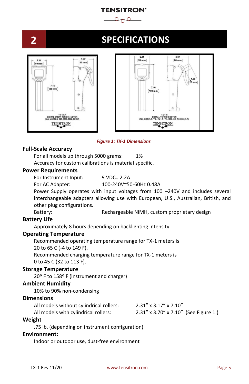

<span id="page-4-0"></span>

### **2 SPECIFICATIONS**



*Figure 1: TX-1 Dimensions*

### **Full-Scale Accuracy**

For all models up through 5000 grams: 1% Accuracy for custom calibrations is material specific.

#### **Power Requirements**

For Instrument Input: 9 VDC...2.2A

For AC Adapter: 100-240V~50-60Hz 0.48A

Power Supply operates with input voltages from 100 –240V and includes several interchangeable adapters allowing use with European, U.S., Australian, British, and other plug configurations.

Battery: Rechargeable NiMH, custom proprietary design

### **Battery Life**

Approximately 8 hours depending on backlighting intensity

### **Operating Temperature**

Recommended operating temperature range for TX-1 meters is 20 to 65 C (-4 to 149 F). Recommended charging temperature range for TX-1 meters is

0 to 45 C (32 to 113 F).

### **Storage Temperature**

20º F to 158º F (instrument and charger)

### **Ambient Humidity**

10% to 90% non-condensing

### **Dimensions**

| All models without cylindrical rollers: | $2.31''$ x $3.17''$ x $7.10''$        |
|-----------------------------------------|---------------------------------------|
| All models with cylindrical rollers:    | 2.31" x 3.70" x 7.10" (See Figure 1.) |

### **Weight**

.75 lb. (depending on instrument configuration)

#### **Environment:**

Indoor or outdoor use, dust-free environment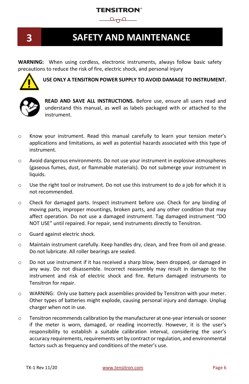### **TENSITRON®**  $\circ$



### <span id="page-5-0"></span>**3. SAFETY AND MAINTENANCE 3 SAFETY AND MAINTENANCE**

**WARNING:** When using cordless, electronic instruments, always follow basic safety precautions to reduce the risk of fire, electric shock, and personal injury



**USE ONLY A TENSITRON POWER SUPPLY TO AVOID DAMAGE TO INSTRUMENT.**



**READ AND SAVE ALL INSTRUCTIONS.** Before use, ensure all users read and understand this manual, as well as labels packaged with or attached to the instrument.

- o Know your instrument. Read this manual carefully to learn your tension meter's applications and limitations, as well as potential hazards associated with this type of instrument.
- o Avoid dangerous environments. Do not use your instrument in explosive atmospheres (gaseous fumes, dust, or flammable materials). Do not submerge your instrument in liquids.
- $\circ$  Use the right tool or instrument. Do not use this instrument to do a job for which it is not recommended.
- o Check for damaged parts. Inspect instrument before use. Check for any binding of moving parts, improper mountings, broken parts, and any other condition that may affect operation. Do not use a damaged instrument. Tag damaged instrument "DO NOT USE" until repaired. For repair, send instruments directly to Tensitron.
- o Guard against electric shock.
- o Maintain instrument carefully. Keep handles dry, clean, and free from oil and grease. Do not lubricate. All roller bearings are sealed.
- o Do not use instrument if it has received a sharp blow, been dropped, or damaged in any way. Do not disassemble. Incorrect reassembly may result in damage to the instrument and risk of electric shock and fire. Return damaged instruments to Tensitron for repair.
- o WARNING: Only use battery pack assemblies provided by Tensitron with your meter. Other types of batteries might explode, causing personal injury and damage. Unplug charger when not in use.
- o Tensitron recommends calibration by the manufacturer at one-year intervals or sooner if the meter is worn, damaged, or reading incorrectly. However, it is the user's responsibility to establish a suitable calibration interval, considering the user's accuracy requirements, requirements set by contract or regulation, and environmental factors such as frequency and conditions of the meter's use.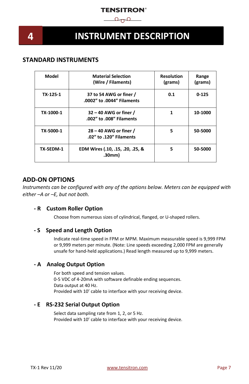

### <span id="page-6-0"></span>**4. INSTRUMENT DESCRIPTION 4 INSTRUMENT DESCRIPTION**

### <span id="page-6-1"></span>**STANDARD INSTRUMENTS**

| Model     | <b>Material Selection</b><br>(Wire / Filaments)       | <b>Resolution</b><br>(grams) | Range<br>(grams) |
|-----------|-------------------------------------------------------|------------------------------|------------------|
| TX 125-1  | 37 to 54 AWG or finer /<br>.0002" to .0044" Filaments | 0.1                          | $0 - 125$        |
| TX-1000-1 | 32 - 40 AWG or finer /<br>.002" to .008" Filaments    | 1                            | 10-1000          |
| TX-5000-1 | 28 – 40 AWG or finer /<br>.02" to .120" Filaments     | 5                            | 50-5000          |
| TX-5EDM-1 | EDM Wires (.10, .15, .20, .25, &<br>.30mm)            | 5                            | 50-5000          |

### <span id="page-6-2"></span>**ADD-ON OPTIONS**

*Instruments can be configured with any of the options below. Meters can be equipped with either –A or –E, but not both.*

### <span id="page-6-3"></span>**- R Custom Roller Option**

Choose from numerous sizes of cylindrical, flanged, or U-shaped rollers.

### <span id="page-6-4"></span>**- S Speed and Length Option**

Indicate real-time speed in FPM or MPM. Maximum measurable speed is 9,999 FPM or 9,999 meters per minute. (Note: Line speeds exceeding 2,000 FPM are generally unsafe for hand-held applications.) Read length measured up to 9,999 meters.

### <span id="page-6-5"></span>**- A Analog Output Option**

For both speed and tension values. 0-5 VDC of 4-20mA with software definable ending sequences. Data output at 40 Hz. Provided with 10' cable to interface with your receiving device.

### <span id="page-6-6"></span>**- E RS-232 Serial Output Option**

Select data sampling rate from 1, 2, or 5 Hz. Provided with 10' cable to interface with your receiving device.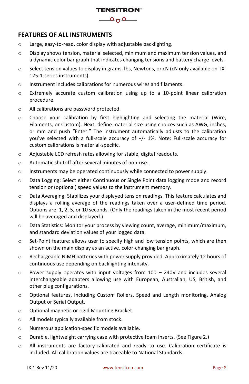

### <span id="page-7-0"></span>**FEATURES OF ALL INSTRUMENTS**

- o Large, easy-to-read, color display with adjustable backlighting.
- $\circ$  Display shows tension, material selected, minimum and maximum tension values, and a dynamic color bar graph that indicates changing tensions and battery charge levels.
- $\circ$  Select tension values to display in grams, lbs, Newtons, or cN (cN only available on TX-125-1-series instruments).
- o Instrument includes calibrations for numerous wires and filaments.
- o Extremely accurate custom calibration using up to a 10-point linear calibration procedure.
- o All calibrations are password protected.
- o Choose your calibration by first highlighting and selecting the material (Wire, Filaments, or Custom). Next, define material size using choices such as AWG, inches, or mm and push "Enter." The instrument automatically adjusts to the calibration you've selected with a full-scale accuracy of +/- 1%. Note: Full-scale accuracy for custom calibrations is material-specific.
- o Adjustable LCD refresh rates allowing for stable, digital readouts.
- o Automatic shutoff after several minutes of non-use.
- $\circ$  Instruments may be operated continuously while connected to power supply.
- o Data Logging: Select either Continuous or Single Point data logging mode and record tension or (optional) speed values to the instrument memory.
- $\circ$  Data Averaging: Stabilizes your displayed tension readings. This feature calculates and displays a rolling average of the readings taken over a user-defined time period. Options are: 1, 2, 5, or 10 seconds. (Only the readings taken in the most recent period will be averaged and displayed.)
- o Data Statistics: Monitor your process by viewing count, average, minimum/maximum, and standard deviation values of your logged data.
- o Set-Point feature: allows user to specify high and low tension points, which are then shown on the main display as an active, color-changing bar graph.
- $\circ$  Rechargeable NiMH batteries with power supply provided. Approximately 12 hours of continuous use depending on backlighting intensity.
- $\circ$  Power supply operates with input voltages from 100 240V and includes several interchangeable adapters allowing use with European, Australian, US, British, and other plug configurations.
- o Optional features, including Custom Rollers, Speed and Length monitoring, Analog Output or Serial Output.
- o Optional magnetic or rigid Mounting Bracket.
- o All models typically available from stock.
- o Numerous application-specific models available.
- o Durable, lightweight carrying case with protective foam inserts. (See Figure 2.)
- o All instruments are factory-calibrated and ready to use. Calibration certificate is included. All calibration values are traceable to National Standards.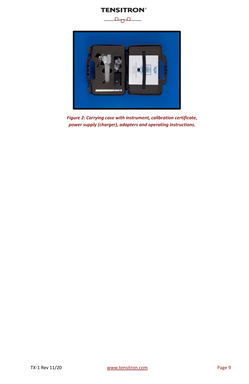



*Figure 2: Carrying case with instrument, calibration certificate, power supply (charger), adapters and operating instructions.*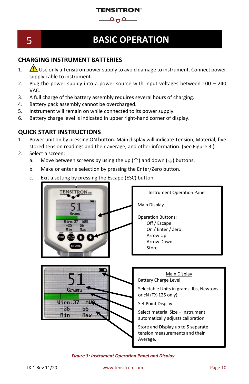

## <span id="page-9-0"></span>**5. BASIC OPERATION**

### 5 **BASIC OPERATION**

### <span id="page-9-1"></span>**CHARGING INSTRUMENT BATTERIES**

- 1.  $\Delta$  Use only a Tensitron power supply to avoid damage to instrument. Connect power supply cable to instrument.
- 2. Plug the power supply into a power source with input voltages between  $100 240$ VAC.
- 3. A full charge of the battery assembly requires several hours of charging.
- 4. Battery pack assembly cannot be overcharged.
- 5. Instrument will remain on while connected to its power supply.
- 6. Battery charge level is indicated in upper right-hand corner of display.

### <span id="page-9-2"></span>**QUICK START INSTRUCTIONS**

- 1. Power unit on by pressing ON button. Main display will indicate Tension, Material, five stored tension readings and their average, and other information. (See Figure 3.)
- 2. Select a screen:
	- a. Move between screens by using the up ( $\uparrow$ ) and down ( $\downarrow$ ) buttons.
	- b. Make or enter a selection by pressing the Enter/Zero button.
	- c. Exit a setting by pressing the Escape (ESC) button.



*Figure 3: Instrument Operation Panel and Display*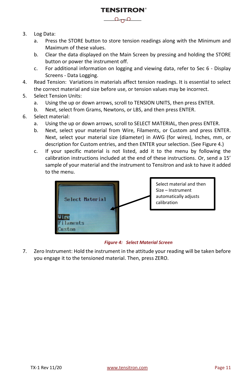- 3. Log Data:
	- a. Press the STORE button to store tension readings along with the Minimum and Maximum of these values.

**TENSITRON®**  $\rho_{\eta}$ 

- b. Clear the data displayed on the Main Screen by pressing and holding the STORE button or power the instrument off.
- c. For additional information on logging and viewing data, refer to Sec 6 Display Screens - Data Logging.
- 4. Read Tension: Variations in materials affect tension readings. It is essential to select the correct material and size before use, or tension values may be incorrect.
- 5. Select Tension Units:
	- a. Using the up or down arrows, scroll to TENSION UNITS, then press ENTER.
	- b. Next, select from Grams, Newtons, or LBS, and then press ENTER.
- 6. Select material:
	- a. Using the up or down arrows, scroll to SELECT MATERIAL, then press ENTER.
	- b. Next, select your material from Wire, Filaments, or Custom and press ENTER. Next, select your material size (diameter) in AWG (for wires), Inches, mm, or description for Custom entries, and then ENTER your selection. (See Figure 4.)
	- c. If your specific material is not listed, add it to the menu by following the calibration instructions included at the end of these instructions. Or, send a 15' sample of your material and the instrument to Tensitron and ask to have it added to the menu.



#### *Figure 4: Select Material Screen*

7. Zero Instrument: Hold the instrument in the attitude your reading will be taken before you engage it to the tensioned material. Then, press ZERO.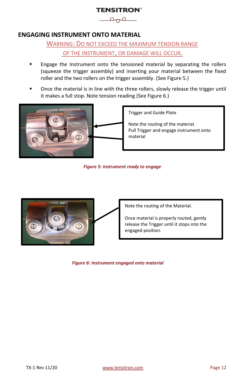$\overline{\phantom{a}}$ 

### <span id="page-11-0"></span>**ENGAGING INSTRUMENT ONTO MATERIAL**

WARNING: DO NOT EXCEED THE MAXIMUM TENSION RANGE OF THE INSTRUMENT, OR DAMAGE WILL OCCUR.

- Engage the Instrument onto the tensioned material by separating the rollers (squeeze the trigger assembly) and inserting your material between the fixed roller and the two rollers on the trigger assembly. (See Figure 5.)
- Once the material is in line with the three rollers, slowly release the trigger until it makes a full stop. Note tension reading (See Figure 6.)



Trigger and Guide Plate

Note the routing of the material. Pull Trigger and engage instrument onto material

*Figure 5: Instrument ready to engage*



Note the routing of the Material.

Once material is properly routed, gently release the Trigger until it stops into the engaged position.

*Figure 6: Instrument engaged onto material*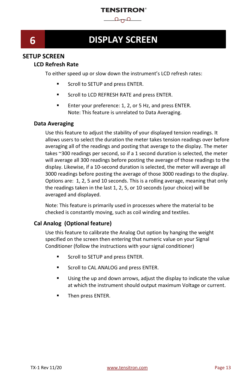$\Omega_{\Omega}$ 

### <span id="page-12-0"></span>**6 DISPLAY SCREEN**

### <span id="page-12-2"></span><span id="page-12-1"></span>**SETUP SCREEN**

### **LCD Refresh Rate**

To either speed up or slow down the instrument's LCD refresh rates:

- Scroll to SETUP and press ENTER.
- Scroll to LCD REFRESH RATE and press ENTER.
- Enter your preference: 1, 2, or 5 Hz, and press ENTER. Note: This feature is unrelated to Data Averaging.

### <span id="page-12-3"></span>**Data Averaging**

Use this feature to adjust the stability of your displayed tension readings. It allows users to select the duration the meter takes tension readings over before averaging all of the readings and posting that average to the display. The meter takes ~300 readings per second, so if a 1 second duration is selected, the meter will average all 300 readings before posting the average of those readings to the display. Likewise, if a 10-second duration is selected, the meter will average all 3000 readings before posting the average of those 3000 readings to the display. Options are: 1, 2, 5 and 10 seconds. This is a rolling average, meaning that only the readings taken in the last 1, 2, 5, or 10 seconds (your choice) will be averaged and displayed.

Note: This feature is primarily used in processes where the material to be checked is constantly moving, such as coil winding and textiles.

### <span id="page-12-4"></span>**Cal Analog (Optional feature)**

Use this feature to calibrate the Analog Out option by hanging the weight specified on the screen then entering that numeric value on your Signal Conditioner (follow the instructions with your signal conditioner)

- Scroll to SETUP and press ENTER.
- Scroll to CAL ANALOG and press ENTER.
- Using the up and down arrows, adjust the display to indicate the value at which the instrument should output maximum Voltage or current.
- Then press ENTER.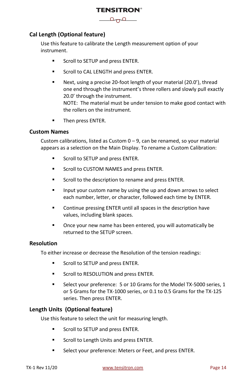

### <span id="page-13-0"></span>**Cal Length (Optional feature)**

Use this feature to calibrate the Length measurement option of your instrument.

- **■** Scroll to SETUP and press ENTER.
- **EXECTED SCROLL OF SCROOT ALL ENGTH and press ENTER.**
- Next, using a precise 20-foot length of your material (20.0'), thread one end through the instrument's three rollers and slowly pull exactly 20.0' through the instrument. NOTE: The material must be under tension to make good contact with the rollers on the instrument.
- **■** Then press ENTER.

#### <span id="page-13-1"></span>**Custom Names**

Custom calibrations, listed as Custom  $0 - 9$ , can be renamed, so your material appears as a selection on the Main Display. To rename a Custom Calibration:

- Scroll to SETUP and press ENTER.
- Scroll to CUSTOM NAMES and press ENTER.
- Scroll to the description to rename and press ENTER.
- Input your custom name by using the up and down arrows to select each number, letter, or character, followed each time by ENTER.
- Continue pressing ENTER until all spaces in the description have values, including blank spaces.
- Once your new name has been entered, you will automatically be returned to the SETUP screen.

### <span id="page-13-2"></span>**Resolution**

To either increase or decrease the Resolution of the tension readings:

- Scroll to SETUP and press ENTER.
- Scroll to RESOLUTION and press ENTER.
- Select your preference: 5 or 10 Grams for the Model TX-5000 series, 1 or 5 Grams for the TX-1000 series, or 0.1 to 0.5 Grams for the TX-125 series. Then press ENTER.

### <span id="page-13-3"></span>**Length Units (Optional feature)**

Use this feature to select the unit for measuring length.

- Scroll to SETUP and press ENTER.
- Scroll to Length Units and press ENTER.
- Select your preference: Meters or Feet, and press ENTER.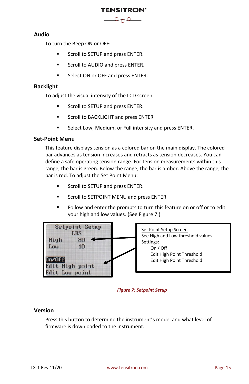

### <span id="page-14-0"></span>**Audio**

To turn the Beep ON or OFF:

- Scroll to SETUP and press ENTER.
- Scroll to AUDIO and press ENTER.
- Select ON or OFF and press ENTER.

### <span id="page-14-1"></span>**Backlight**

To adjust the visual intensity of the LCD screen:

- Scroll to SETUP and press ENTER.
- Scroll to BACKLIGHT and press ENTER
- Select Low, Medium, or Full intensity and press ENTER.

### <span id="page-14-2"></span>**Set-Point Menu**

This feature displays tension as a colored bar on the main display. The colored bar advances as tension increases and retracts as tension decreases. You can define a safe operating tension range. For tension measurements within this range, the bar is green. Below the range, the bar is amber. Above the range, the bar is red. To adjust the Set Point Menu:

- Scroll to SETUP and press ENTER.
- Scroll to SETPOINT MENU and press ENTER.
- Follow and enter the prompts to turn this feature on or off or to edit your high and low values. (See Figure 7.)



#### *Figure 7: Setpoint Setup*

### <span id="page-14-3"></span>**Version**

Press this button to determine the instrument's model and what level of firmware is downloaded to the instrument.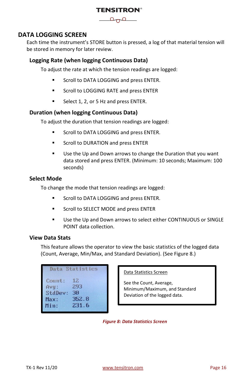

### <span id="page-15-0"></span>**DATA LOGGING SCREEN**

Each time the instrument's STORE button is pressed, a log of that material tension will be stored in memory for later review.

### <span id="page-15-1"></span>**Logging Rate (when logging Continuous Data)**

To adjust the rate at which the tension readings are logged:

- **EXECTED IN SECTION SATE:** Scroll to DATA LOGGING and press ENTER.
- Scroll to LOGGING RATE and press ENTER
- Select 1, 2, or 5 Hz and press ENTER.

### <span id="page-15-2"></span>**Duration (when logging Continuous Data)**

To adjust the duration that tension readings are logged:

- **■** Scroll to DATA LOGGING and press ENTER.
- Scroll to DURATION and press ENTER
- Use the Up and Down arrows to change the Duration that you want data stored and press ENTER. (Minimum: 10 seconds; Maximum: 100 seconds)

### <span id="page-15-3"></span>**Select Mode**

To change the mode that tension readings are logged:

- **EXECTED IN SCROOT IO DATA LOGGING and press ENTER.**
- **■** Scroll to SELECT MODE and press ENTER
- Use the Up and Down arrows to select either CONTINUOUS or SINGLE POINT data collection.

### <span id="page-15-4"></span>**View Data Stats**

This feature allows the operator to view the basic statistics of the logged data (Count, Average, Min/Max, and Standard Deviation). (See Figure 8.)

| Data Statistics |       |  |  |  |
|-----------------|-------|--|--|--|
| Count:          | 12    |  |  |  |
| Avg:            | 293   |  |  |  |
| StdDev:         | ЗO    |  |  |  |
| Max:            | 352.8 |  |  |  |
| Min:            | 231.6 |  |  |  |

### Data Statistics Screen

See the Count, Average, Minimum/Maximum, and Standard Deviation of the logged data.

*Figure 8: Data Statistics Screen*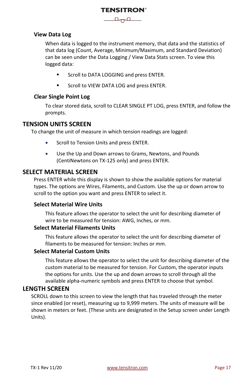### **TENSITRON®**  $\overline{\phantom{a}}$

### <span id="page-16-0"></span>**View Data Log**

When data is logged to the instrument memory, that data and the statistics of that data log (Count, Average, Minimum/Maximum, and Standard Deviation) can be seen under the Data Logging / View Data Stats screen. To view this logged data:

- **■** Scroll to DATA LOGGING and press ENTER.
- Scroll to VIEW DATA LOG and press ENTER.

### <span id="page-16-1"></span>**Clear Single Point Log**

To clear stored data, scroll to CLEAR SINGLE PT LOG, press ENTER, and follow the prompts.

### <span id="page-16-2"></span>**TENSION UNITS SCREEN**

To change the unit of measure in which tension readings are logged:

- Scroll to Tension Units and press ENTER.
- Use the Up and Down arrows to Grams, Newtons, and Pounds (CentiNewtons on TX-125 only) and press ENTER.

### <span id="page-16-3"></span>**SELECT MATERIAL SCREEN**

Press ENTER while this display is shown to show the available options for material types. The options are Wires, Filaments, and Custom. Use the up or down arrow to scroll to the option you want and press ENTER to select it.

### <span id="page-16-4"></span>**Select Material Wire Units**

This feature allows the operator to select the unit for describing diameter of wire to be measured for tension: AWG, Inches, or mm.

### <span id="page-16-5"></span>**Select Material Filaments Units**

This feature allows the operator to select the unit for describing diameter of filaments to be measured for tension: Inches or mm.

#### <span id="page-16-6"></span>**Select Material Custom Units**

This feature allows the operator to select the unit for describing diameter of the custom material to be measured for tension. For Custom, the operator inputs the options for units. Use the up and down arrows to scroll through all the available alpha-numeric symbols and press ENTER to choose that symbol.

### <span id="page-16-7"></span>**LENGTH SCREEN**

SCROLL down to this screen to view the length that has traveled through the meter since enabled (or reset), measuring up to 9,999 meters. The units of measure will be shown in meters or feet. (These units are designated in the Setup screen under Length Units).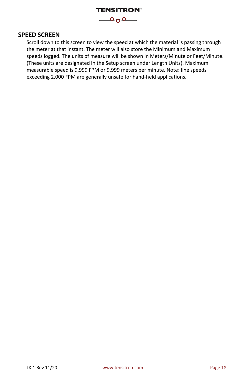

### <span id="page-17-0"></span>**SPEED SCREEN**

Scroll down to this screen to view the speed at which the material is passing through the meter at that instant. The meter will also store the Minimum and Maximum speeds logged. The units of measure will be shown in Meters/Minute or Feet/Minute. (These units are designated in the Setup screen under Length Units). Maximum measurable speed is 9,999 FPM or 9,999 meters per minute. Note: line speeds exceeding 2,000 FPM are generally unsafe for hand-held applications.